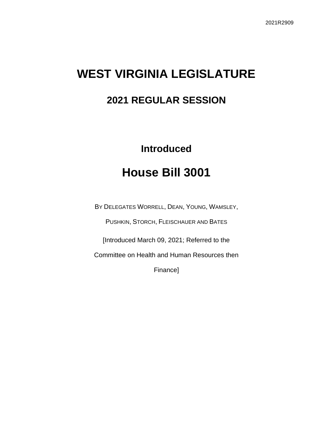# **WEST VIRGINIA LEGISLATURE**

## **2021 REGULAR SESSION**

# **Introduced House Bill 3001**

BY DELEGATES WORRELL, DEAN, YOUNG, WAMSLEY,

PUSHKIN, STORCH, FLEISCHAUER AND BATES

[Introduced March 09, 2021; Referred to the

Committee on Health and Human Resources then

Finance]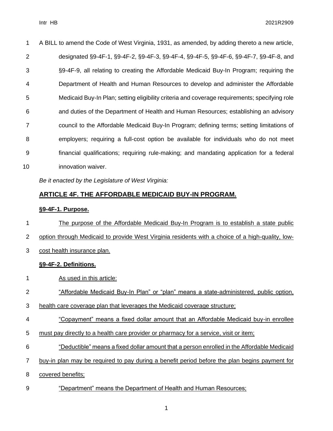| 1  | A BILL to amend the Code of West Virginia, 1931, as amended, by adding thereto a new article, |
|----|-----------------------------------------------------------------------------------------------|
| 2  | designated §9-4F-1, §9-4F-2, §9-4F-3, §9-4F-4, §9-4F-5, §9-4F-6, §9-4F-7, §9-4F-8, and        |
| 3  | §9-4F-9, all relating to creating the Affordable Medicaid Buy-In Program; requiring the       |
| 4  | Department of Health and Human Resources to develop and administer the Affordable             |
| 5  | Medicaid Buy-In Plan; setting eligibility criteria and coverage requirements; specifying role |
| 6  | and duties of the Department of Health and Human Resources; establishing an advisory          |
| 7  | council to the Affordable Medicaid Buy-In Program; defining terms; setting limitations of     |
| 8  | employers; requiring a full-cost option be available for individuals who do not meet          |
| 9  | financial qualifications; requiring rule-making; and mandating application for a federal      |
| 10 | innovation waiver.                                                                            |

*Be it enacted by the Legislature of West Virginia:*

### **ARTICLE 4F. THE AFFORDABLE MEDICAID BUY-IN PROGRAM.**

### **§9-4F-1. Purpose.**

 The purpose of the Affordable Medicaid Buy-In Program is to establish a state public option through Medicaid to provide West Virginia residents with a choice of a high-quality, low- cost health insurance plan. **§9-4F-2. Definitions.**

- As used in this article:
- "Affordable Medicaid Buy-In Plan" or "plan" means a state-administered, public option,
- health care coverage plan that leverages the Medicaid coverage structure;
- "Copayment" means a fixed dollar amount that an Affordable Medicaid buy-in enrollee
- must pay directly to a health care provider or pharmacy for a service, visit or item;
- "Deductible" means a fixed dollar amount that a person enrolled in the Affordable Medicaid
- buy-in plan may be required to pay during a benefit period before the plan begins payment for
- covered benefits;
- "Department" means the Department of Health and Human Resources;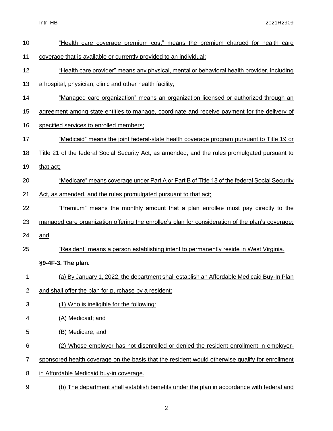| 10             | "Health care coverage premium cost" means the premium charged for health care                         |
|----------------|-------------------------------------------------------------------------------------------------------|
| 11             | coverage that is available or currently provided to an individual;                                    |
| 12             | "Health care provider" means any physical, mental or behavioral health provider, including            |
| 13             | a hospital, physician, clinic and other health facility;                                              |
| 14             | "Managed care organization" means an organization licensed or authorized through an                   |
| 15             | agreement among state entities to manage, coordinate and receive payment for the delivery of          |
| 16             | specified services to enrolled members;                                                               |
| 17             | <u>"Medicaid" means the joint federal-state health coverage program pursuant to Title 19 or</u>       |
| 18             | <u>Title 21 of the federal Social Security Act, as amended, and the rules promulgated pursuant to</u> |
| 19             | that act;                                                                                             |
| 20             | "Medicare" means coverage under Part A or Part B of Title 18 of the federal Social Security           |
| 21             | Act, as amended, and the rules promulgated pursuant to that act;                                      |
| 22             | "Premium" means the monthly amount that a plan enrollee must pay directly to the                      |
| 23             | managed care organization offering the enrollee's plan for consideration of the plan's coverage;      |
| 24             | and                                                                                                   |
| 25             | "Resident" means a person establishing intent to permanently reside in West Virginia.                 |
|                | §9-4F-3. The plan.                                                                                    |
| 1              | (a) By January 1, 2022, the department shall establish an Affordable Medicaid Buy-In Plan             |
| $\overline{2}$ | and shall offer the plan for purchase by a resident:                                                  |
| 3              | (1) Who is ineligible for the following:                                                              |
| 4              | (A) Medicaid; and                                                                                     |
| 5              | (B) Medicare; and                                                                                     |
| 6              | (2) Whose employer has not disenrolled or denied the resident enrollment in employer-                 |
| 7              | sponsored health coverage on the basis that the resident would otherwise qualify for enrollment       |
| 8              | in Affordable Medicaid buy-in coverage.                                                               |
| 9              | (b) The department shall establish benefits under the plan in accordance with federal and             |
|                |                                                                                                       |

2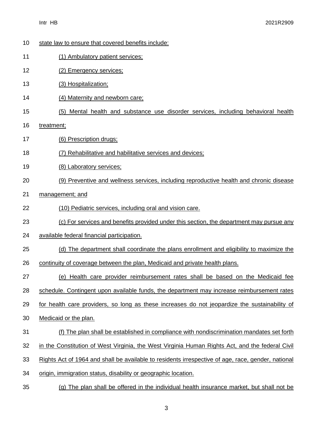| 10 | state law to ensure that covered benefits include:                                                 |
|----|----------------------------------------------------------------------------------------------------|
| 11 | (1) Ambulatory patient services;                                                                   |
| 12 | (2) Emergency services;                                                                            |
| 13 | (3) Hospitalization;                                                                               |
| 14 | (4) Maternity and newborn care:                                                                    |
| 15 | Mental health and substance use disorder services, including behavioral health<br>(5)              |
| 16 | treatment;                                                                                         |
| 17 | (6) Prescription drugs;                                                                            |
| 18 | (7) Rehabilitative and habilitative services and devices;                                          |
| 19 | (8) Laboratory services;                                                                           |
| 20 | (9) Preventive and wellness services, including reproductive health and chronic disease            |
| 21 | management; and                                                                                    |
| 22 | (10) Pediatric services, including oral and vision care.                                           |
| 23 | (c) For services and benefits provided under this section, the department may pursue any           |
| 24 | available federal financial participation.                                                         |
| 25 | (d) The department shall coordinate the plans enrollment and eligibility to maximize the           |
| 26 | continuity of coverage between the plan, Medicaid and private health plans.                        |
| 27 | (e) Health care provider reimbursement rates shall be based on the Medicaid fee                    |
| 28 | schedule. Contingent upon available funds, the department may increase reimbursement rates         |
| 29 | for health care providers, so long as these increases do not jeopardize the sustainability of      |
| 30 | Medicaid or the plan.                                                                              |
| 31 | (f) The plan shall be established in compliance with nondiscrimination mandates set forth          |
| 32 | in the Constitution of West Virginia, the West Virginia Human Rights Act, and the federal Civil    |
| 33 | Rights Act of 1964 and shall be available to residents irrespective of age, race, gender, national |
| 34 | origin, immigration status, disability or geographic location.                                     |
| 35 | (g) The plan shall be offered in the individual health insurance market, but shall not be          |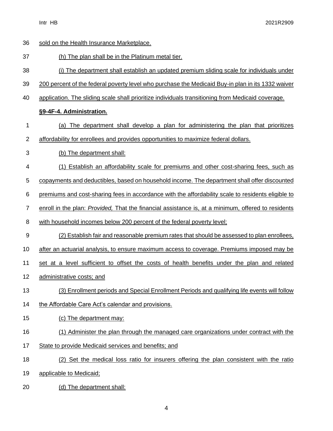| 36             | sold on the Health Insurance Marketplace.                                                          |
|----------------|----------------------------------------------------------------------------------------------------|
| 37             | (h) The plan shall be in the Platinum metal tier.                                                  |
| 38             | (i) The department shall establish an updated premium sliding scale for individuals under          |
| 39             | 200 percent of the federal poverty level who purchase the Medicaid Buy-in plan in its 1332 waiver  |
| 40             | application. The sliding scale shall prioritize individuals transitioning from Medicaid coverage.  |
|                | §9-4F-4. Administration.                                                                           |
| 1              | (a) The department shall develop a plan for administering the plan that prioritizes                |
| $\overline{2}$ | affordability for enrollees and provides opportunities to maximize federal dollars.                |
| 3              | (b) The department shall:                                                                          |
| 4              | (1) Establish an affordability scale for premiums and other cost-sharing fees, such as             |
| 5              | copayments and deductibles, based on household income. The department shall offer discounted       |
| 6              | premiums and cost-sharing fees in accordance with the affordability scale to residents eligible to |
| $\overline{7}$ | enroll in the plan: Provided, That the financial assistance is, at a minimum, offered to residents |
| 8              | with household incomes below 200 percent of the federal poverty level;                             |
| 9              | (2) Establish fair and reasonable premium rates that should be assessed to plan enrollees,         |
| 10             | after an actuarial analysis, to ensure maximum access to coverage. Premiums imposed may be         |
| 11             | set at a level sufficient to offset the costs of health benefits under the plan and related        |
| 12             | administrative costs; and                                                                          |
| 13             | (3) Enrollment periods and Special Enrollment Periods and qualifying life events will follow       |
| 14             | the Affordable Care Act's calendar and provisions.                                                 |
| 15             | (c) The department may:                                                                            |
| 16             | (1) Administer the plan through the managed care organizations under contract with the             |
| 17             | State to provide Medicaid services and benefits; and                                               |
| 18             | (2) Set the medical loss ratio for insurers offering the plan consistent with the ratio            |
| 19             | applicable to Medicaid;                                                                            |
| 20             | (d) The department shall:                                                                          |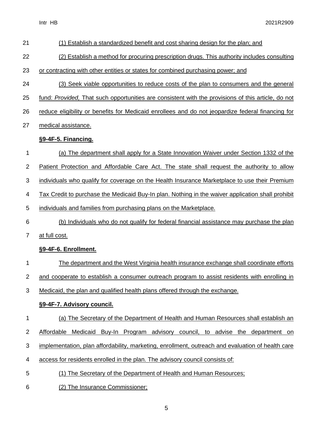| 21             | (1) Establish a standardized benefit and cost sharing design for the plan; and                     |
|----------------|----------------------------------------------------------------------------------------------------|
| 22             | (2) Establish a method for procuring prescription drugs. This authority includes consulting        |
| 23             | or contracting with other entities or states for combined purchasing power; and                    |
| 24             | (3) Seek viable opportunities to reduce costs of the plan to consumers and the general             |
| 25             | fund: Provided, That such opportunities are consistent with the provisions of this article, do not |
| 26             | reduce eligibility or benefits for Medicaid enrollees and do not jeopardize federal financing for  |
| 27             | medical assistance.                                                                                |
|                | §9-4F-5. Financing.                                                                                |
| 1              | (a) The department shall apply for a State Innovation Waiver under Section 1332 of the             |
| $\overline{2}$ | Patient Protection and Affordable Care Act. The state shall request the authority to allow         |
| 3              | individuals who qualify for coverage on the Health Insurance Marketplace to use their Premium      |
| 4              | Tax Credit to purchase the Medicaid Buy-In plan. Nothing in the waiver application shall prohibit  |
| 5              | individuals and families from purchasing plans on the Marketplace.                                 |
| 6              | (b) Individuals who do not qualify for federal financial assistance may purchase the plan          |
| $\overline{7}$ | at full cost.                                                                                      |
|                | §9-4F-6. Enrollment.                                                                               |
| 1              | The department and the West Virginia health insurance exchange shall coordinate efforts            |
| $\overline{2}$ | and cooperate to establish a consumer outreach program to assist residents with enrolling in       |
| 3              | Medicaid, the plan and qualified health plans offered through the exchange.                        |
|                | §9-4F-7. Advisory council.                                                                         |
| 1              | (a) The Secretary of the Department of Health and Human Resources shall establish an               |
| $\overline{c}$ | Affordable Medicaid Buy-In Program advisory council, to advise the department<br>on                |
| 3              | implementation, plan affordability, marketing, enrollment, outreach and evaluation of health care  |
| 4              | access for residents enrolled in the plan. The advisory council consists of:                       |
| 5              | The Secretary of the Department of Health and Human Resources;<br>(1)                              |
| 6              | (2) The Insurance Commissioner;                                                                    |

5